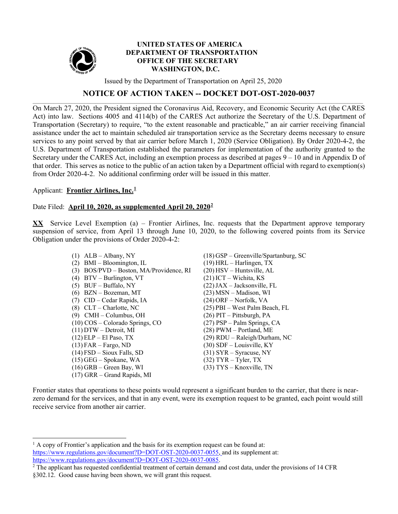

### **UNITED STATES OF AMERICA DEPARTMENT OF TRANSPORTATION OFFICE OF THE SECRETARY WASHINGTON, D.C.**

Issued by the Department of Transportation on April 25, 2020

# **NOTICE OF ACTION TAKEN -- DOCKET DOT-OST-2020-0037**

On March 27, 2020, the President signed the Coronavirus Aid, Recovery, and Economic Security Act (the CARES Act) into law. Sections 4005 and 4114(b) of the CARES Act authorize the Secretary of the U.S. Department of Transportation (Secretary) to require, "to the extent reasonable and practicable," an air carrier receiving financial assistance under the act to maintain scheduled air transportation service as the Secretary deems necessary to ensure services to any point served by that air carrier before March 1, 2020 (Service Obligation). By Order 2020-4-2, the U.S. Department of Transportation established the parameters for implementation of the authority granted to the Secretary under the CARES Act, including an exemption process as described at pages 9 – 10 and in Appendix D of that order. This serves as notice to the public of an action taken by a Department official with regard to exemption(s) from Order 2020-4-2. No additional confirming order will be issued in this matter.

### Applicant: **Frontier Airlines, Inc.[1](#page-0-0)**

# Date Filed: **April 10, 2020, as supplemented April 20, 2020[2](#page-0-1)**

**XX** Service Level Exemption (a) – Frontier Airlines, Inc. requests that the Department approve temporary suspension of service, from April 13 through June 10, 2020, to the following covered points from its Service Obligation under the provisions of Order 2020-4-2:

- (1) ALB Albany, NY (18) GSP Greenville/Spartanburg, SC (2) BMI – Bloomington, IL (19) HRL – Harlingen, TX (3) BOS/PVD – Boston, MA/Providence, RI (20) HSV – Huntsville, AL (4) BTV – Burlington, VT (21) ICT – Wichita, KS (5) BUF – Buffalo, NY (22)JAX – Jacksonville, FL (6) BZN – Bozeman, MT (23) MSN – Madison, WI (7) CID – Cedar Rapids, IA (24) ORF – Norfolk, VA (8) CLT – Charlotte, NC (25) PBI – West Palm Beach, FL (9) CMH – Columbus, OH (26) PIT – Pittsburgh, PA (10) COS – Colorado Springs, CO (27) PSP – Palm Springs, CA (11) DTW – Detroit, MI (28) PWM – Portland, ME (12) ELP – El Paso, TX (29) RDU – Raleigh/Durham, NC  $(13)$  FAR – Fargo, ND (30) SDF – Louisville, KY (14) FSD – Sioux Falls, SD (31) SYR – Syracuse, NY (15) GEG – Spokane, WA (32) TYR – Tyler, TX<br>(16) GRB – Green Bay, WI (33) TYS – Knoxville, TN  $(16)$  GRB – Green Bay, WI (17) GRR – Grand Rapids, MI
	-

Frontier states that operations to these points would represent a significant burden to the carrier, that there is nearzero demand for the services, and that in any event, were its exemption request to be granted, each point would still receive service from another air carrier.

<span id="page-0-0"></span> $<sup>1</sup>$  A copy of Frontier's application and the basis for its exemption request can be found at:</sup> [https://www.regulations.gov/document?D=DOT-OST-2020-0037-0055,](https://www.regulations.gov/document?D=DOT-OST-2020-0037-0055) and its supplement at: [https://www.regulations.gov/document?D=DOT-OST-2020-0037-0085.](https://www.regulations.gov/document?D=DOT-OST-2020-0037-0055)

<span id="page-0-1"></span> $2$  The applicant has requested confidential treatment of certain demand and cost data, under the provisions of 14 CFR §302.12. Good cause having been shown, we will grant this request.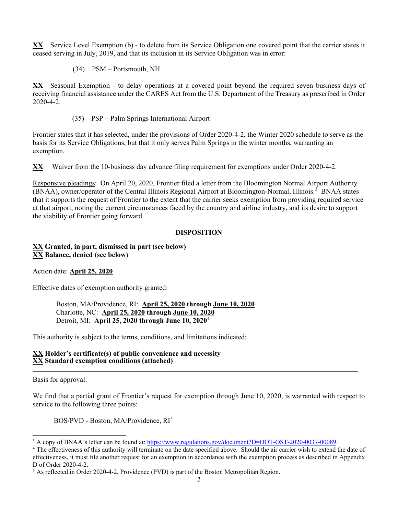**XX** Service Level Exemption (b) - to delete from its Service Obligation one covered point that the carrier states it ceased serving in July, 2019, and that its inclusion in its Service Obligation was in error:

(34) PSM – Portsmouth, NH

**XX** Seasonal Exemption - to delay operations at a covered point beyond the required seven business days of receiving financial assistance under the CARES Act from the U.S. Department of the Treasury as prescribed in Order 2020-4-2.

(35) PSP – Palm Springs International Airport

Frontier states that it has selected, under the provisions of Order 2020-4-2, the Winter 2020 schedule to serve as the basis for its Service Obligations, but that it only serves Palm Springs in the winter months, warranting an exemption.

**XX** Waiver from the 10-business day advance filing requirement for exemptions under Order 2020-4-2.

Responsive pleadings: On April 20, 2020, Frontier filed a letter from the Bloomington Normal Airport Authority (BNAA), owner/operator of the Central Illinois Regional Airport at Bloomington-Normal, Illinois.<sup>[3](#page-1-0)</sup> BNAA states that it supports the request of Frontier to the extent that the carrier seeks exemption from providing required service at that airport, noting the current circumstances faced by the country and airline industry, and its desire to support the viability of Frontier going forward.

### **DISPOSITION**

**XX Granted, in part, dismissed in part (see below) XX Balance, denied (see below)**

Action date: **April 25, 2020**

Effective dates of exemption authority granted:

Boston, MA/Providence, RI: **April 25, 2020 through June 10, 2020** Charlotte, NC: **April 25, 2020 through June 10, 2020** Detroit, MI: **April 25, 2020 through June 10, 2020[4](#page-1-1)**

This authority is subject to the terms, conditions, and limitations indicated:

#### **XX Holder's certificate(s) of public convenience and necessity XX Standard exemption conditions (attached) \_\_\_\_\_\_\_\_\_\_\_\_\_\_\_\_\_\_\_\_\_\_\_\_\_\_\_\_\_\_\_\_\_\_\_\_\_\_\_\_\_\_\_\_\_\_\_\_\_\_\_\_\_\_\_\_\_\_\_\_\_\_\_\_\_\_\_\_\_\_\_\_\_\_\_\_\_\_\_\_\_\_\_\_\_\_\_\_\_\_\_**

#### Basis for approval:

We find that a partial grant of Frontier's request for exemption through June 10, 2020, is warranted with respect to service to the following three points:

BOS/PVD - Boston, MA/Providence, RI<sup>[5](#page-1-2)</sup>

<span id="page-1-0"></span><sup>&</sup>lt;sup>3</sup> A copy of BNAA's letter can be found at: [https://www.regulations.gov/document?D=DOT-OST-2020-0037-00089.](https://www.regulations.gov/document?D=DOT-OST-2020-0037-00089)

<span id="page-1-1"></span><sup>&</sup>lt;sup>4</sup> The effectiveness of this authority will terminate on the date specified above. Should the air carrier wish to extend the date of effectiveness, it must file another request for an exemption in accordance with the exemption process as described in Appendix D of Order 2020-4-2.<br><sup>5</sup> As reflected in Order 2020-4-2, Providence (PVD) is part of the Boston Metropolitan Region.

<span id="page-1-2"></span>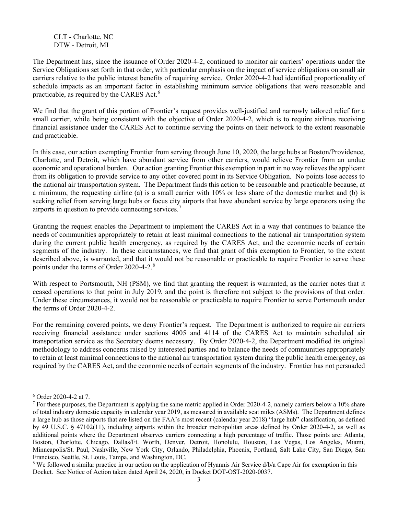CLT - Charlotte, NC DTW - Detroit, MI

The Department has, since the issuance of Order 2020-4-2, continued to monitor air carriers' operations under the Service Obligations set forth in that order, with particular emphasis on the impact of service obligations on small air carriers relative to the public interest benefits of requiring service. Order 2020-4-2 had identified proportionality of schedule impacts as an important factor in establishing minimum service obligations that were reasonable and practicable, as required by the CARES Act.<sup>[6](#page-2-0)</sup>

We find that the grant of this portion of Frontier's request provides well-justified and narrowly tailored relief for a small carrier, while being consistent with the objective of Order 2020-4-2, which is to require airlines receiving financial assistance under the CARES Act to continue serving the points on their network to the extent reasonable and practicable.

In this case, our action exempting Frontier from serving through June 10, 2020, the large hubs at Boston/Providence, Charlotte, and Detroit, which have abundant service from other carriers, would relieve Frontier from an undue economic and operational burden. Our action granting Frontier this exemption in part in no way relieves the applicant from its obligation to provide service to any other covered point in its Service Obligation. No points lose access to the national air transportation system. The Department finds this action to be reasonable and practicable because, at a minimum, the requesting airline (a) is a small carrier with 10% or less share of the domestic market and (b) is seeking relief from serving large hubs or focus city airports that have abundant service by large operators using the airports in question to provide connecting services.<sup>[7](#page-2-1)</sup>

Granting the request enables the Department to implement the CARES Act in a way that continues to balance the needs of communities appropriately to retain at least minimal connections to the national air transportation system during the current public health emergency, as required by the CARES Act, and the economic needs of certain segments of the industry. In these circumstances, we find that grant of this exemption to Frontier, to the extent described above, is warranted, and that it would not be reasonable or practicable to require Frontier to serve these points under the terms of Order 2020-4-2.[8](#page-2-2)

With respect to Portsmouth, NH (PSM), we find that granting the request is warranted, as the carrier notes that it ceased operations to that point in July 2019, and the point is therefore not subject to the provisions of that order. Under these circumstances, it would not be reasonable or practicable to require Frontier to serve Portsmouth under the terms of Order 2020-4-2.

For the remaining covered points, we deny Frontier's request. The Department is authorized to require air carriers receiving financial assistance under sections 4005 and 4114 of the CARES Act to maintain scheduled air transportation service as the Secretary deems necessary. By Order 2020-4-2, the Department modified its original methodology to address concerns raised by interested parties and to balance the needs of communities appropriately to retain at least minimal connections to the national air transportation system during the public health emergency, as required by the CARES Act, and the economic needs of certain segments of the industry. Frontier has not persuaded

<span id="page-2-0"></span> <sup>6</sup> Order 2020-4-2 at 7.

<span id="page-2-1"></span><sup>&</sup>lt;sup>7</sup> For these purposes, the Department is applying the same metric applied in Order 2020-4-2, namely carriers below a 10% share of total industry domestic capacity in calendar year 2019, as measured in available seat miles (ASMs). The Department defines a large hub as those airports that are listed on the FAA's most recent (calendar year 2018) "large hub" classification, as defined by 49 U.S.C. § 47102(11), including airports within the broader metropolitan areas defined by Order 2020-4-2, as well as additional points where the Department observes carriers connecting a high percentage of traffic. Those points are: Atlanta, Boston, Charlotte, Chicago, Dallas/Ft. Worth, Denver, Detroit, Honolulu, Houston, Las Vegas, Los Angeles, Miami, Minneapolis/St. Paul, Nashville, New York City, Orlando, Philadelphia, Phoenix, Portland, Salt Lake City, San Diego, San Francisco, Seattle, St. Louis, Tampa, and Washington, DC.

<span id="page-2-2"></span><sup>&</sup>lt;sup>8</sup> We followed a similar practice in our action on the application of Hyannis Air Service d/b/a Cape Air for exemption in this Docket. See Notice of Action taken dated April 24, 2020, in Docket DOT-OST-2020-0037.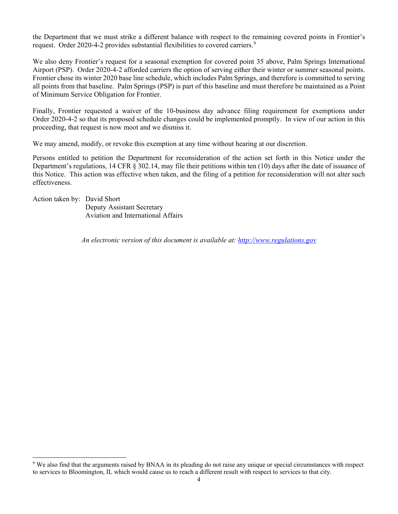the Department that we must strike a different balance with respect to the remaining covered points in Frontier's request. Order 2020-4-2 provides substantial flexibilities to covered carriers.<sup>[9](#page-3-0)</sup>

We also deny Frontier's request for a seasonal exemption for covered point 35 above, Palm Springs International Airport (PSP). Order 2020-4-2 afforded carriers the option of serving either their winter or summer seasonal points. Frontier chose its winter 2020 base line schedule, which includes Palm Springs, and therefore is committed to serving all points from that baseline. Palm Springs (PSP) is part of this baseline and must therefore be maintained as a Point of Minimum Service Obligation for Frontier.

Finally, Frontier requested a waiver of the 10-business day advance filing requirement for exemptions under Order 2020-4-2 so that its proposed schedule changes could be implemented promptly. In view of our action in this proceeding, that request is now moot and we dismiss it.

We may amend, modify, or revoke this exemption at any time without hearing at our discretion.

Persons entitled to petition the Department for reconsideration of the action set forth in this Notice under the Department's regulations, 14 CFR § 302.14, may file their petitions within ten (10) days after the date of issuance of this Notice. This action was effective when taken, and the filing of a petition for reconsideration will not alter such effectiveness.

Action taken by: David Short

Deputy Assistant Secretary Aviation and International Affairs

*An electronic version of this document is available at: [http://www.regulations.gov](http://www.regulations.gov/)*

<span id="page-3-0"></span> <sup>9</sup> We also find that the arguments raised by BNAA in its pleading do not raise any unique or special circumstances with respect to services to Bloomington, IL which would cause us to reach a different result with respect to services to that city.